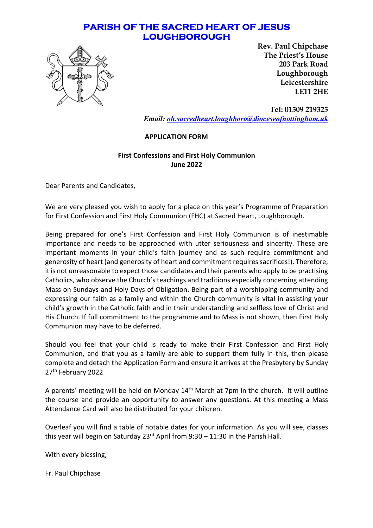## **PARISH OF THE SACRED HEART OF JESUS LOUGHBOROUGH**



**Rev. Paul Chipchase The Priest's House 203 Park Road Loughborough Leicestershire LE11 2HE** 

**Tel: 01509 219325** *Email: oh.sacredheart.loughboro@dioceseofnottingham.uk*

#### **APPLICATION FORM**

#### **First Confessions and First Holy Communion June 2022**

Dear Parents and Candidates,

We are very pleased you wish to apply for a place on this year's Programme of Preparation for First Confession and First Holy Communion (FHC) at Sacred Heart, Loughborough.

Being prepared for one's First Confession and First Holy Communion is of inestimable importance and needs to be approached with utter seriousness and sincerity. These are important moments in your child's faith journey and as such require commitment and generosity of heart (and generosity of heart and commitment requires sacrifices!). Therefore, it is not unreasonable to expect those candidates and their parents who apply to be practising Catholics, who observe the Church's teachings and traditions especially concerning attending Mass on Sundays and Holy Days of Obligation. Being part of a worshipping community and expressing our faith as a family and within the Church community is vital in assisting your child's growth in the Catholic faith and in their understanding and selfless love of Christ and His Church. If full commitment to the programme and to Mass is not shown, then First Holy Communion may have to be deferred.

Should you feel that your child is ready to make their First Confession and First Holy Communion, and that you as a family are able to support them fully in this, then please complete and detach the Application Form and ensure it arrives at the Presbytery by Sunday 27th February 2022

A parents' meeting will be held on Monday 14<sup>th</sup> March at 7pm in the church. It will outline the course and provide an opportunity to answer any questions. At this meeting a Mass Attendance Card will also be distributed for your children.

Overleaf you will find a table of notable dates for your information. As you will see, classes this year will begin on Saturday  $23^{rd}$  April from  $9:30 - 11:30$  in the Parish Hall.

With every blessing,

Fr. Paul Chipchase